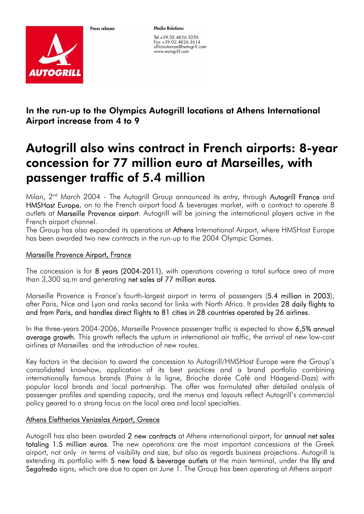

Proce release

**Media Relations** 

Tel +39.02.4826.3250 Fax +39.02.4826.3614 ufficiostampa@autogrill.com www.autogrill.com

In the run-up to the Olympics Autogrill locations at Athens International Airport increase from 4 to 9

## Autogrill also wins contract in French airports: 8-year concession for 77 million euro at Marseilles, with passenger traffic of 5.4 million

Milan, 2<sup>nd</sup> March 2004 - The Autogrill Group announced its entry, through Autogrill France and HMSHost Europe, on to the French airport food & beverages market, with a contract to operate 8 outlets at Marseille Provence airport. Autogrill will be joining the international players active in the French airport channel.

The Group has also expanded its operations at Athens International Airport, where HMSHost Europe has been awarded two new contracts in the run-up to the 2004 Olympic Games.

## Marseille Provence Airport, France

The concession is for 8 years (2004-2011), with operations covering a total surface area of more than 3,300 sq.m and generating net sales of 77 million euros.

Marseille Provence is France's fourth-largest airport in terms of passengers (5.4 million in 2003), after Paris, Nice and Lyon and ranks second for links with North Africa. It provides 28 daily flights to and from Paris, and handles direct flights to 81 cities in 28 countries operated by 26 airlines.

In the three-years 2004-2006, Marseille Provence passenger traffic is expected to show 6,5% annual average growth. This growth reflects the upturn in international air traffic, the arrival of new low-cost airlines at Marseilles and the introduction of new routes.

Key factors in the decision to award the concession to Autogrill/HMSHost Europe were the Group's consolidated knowhow, application of its best practices and a brand portfolio combining internationally famous brands (Pains à la ligne, Brioche dorée Café and Häagend-Dazs) with popular local brands and local partnership. The offer was formulated after detailed analysis of passenger profiles and spending capacity, and the menus and layouts reflect Autogrill's commercial policy geared to a strong focus on the local area and local specialties.

## Athens Eleftherios Venizelos Airport, Greece

Autogrill has also been awarded 2 new contracts at Athens international airport, for annual net sales totaling 1.5 million euros. The new operations are the most important concessions at the Greek airport, not only in terms of visibility and size, but also as regards business projections. Autogrill is extending its portfolio with 5 new food & beverage outlets at the main terminal, under the Illy and Segafredo signs, which are due to open on June 1. The Group has been operating at Athens airport